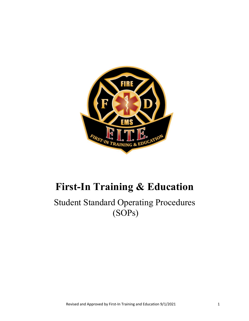

# **First-In Training & Education**

# Student Standard Operating Procedures (SOPs)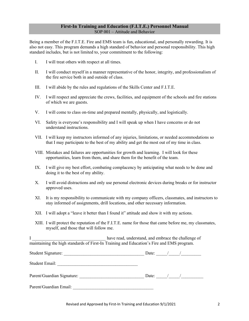#### **First-In Training and Education (F.I.T.E.) Personnel Manual**  SOP 001 – Attitude and Behavior

Being a member of the F.I.T.E. Fire and EMS team is fun, educational, and personally rewarding. It is also not easy. This program demands a high standard of behavior and personal responsibility. This high standard includes, but is not limited to, your commitment to the following:

- I. I will treat others with respect at all times.
- II. I will conduct myself in a manner representative of the honor, integrity, and professionalism of the fire service both in and outside of class.
- III. I will abide by the rules and regulations of the Skills Center and F.I.T.E.
- IV. I will respect and appreciate the crews, facilities, and equipment of the schools and fire stations of which we are guests.
- V. I will come to class on-time and prepared mentally, physically, and logistically.
- VI. Safety is everyone's responsibility and I will speak up when I have concerns or do not understand instructions.
- VII. I will keep my instructors informed of any injuries, limitations, or needed accommodations so that I may participate to the best of my ability and get the most out of my time in class.
- VIII. Mistakes and failures are opportunities for growth and learning. I will look for these opportunities, learn from them, and share them for the benefit of the team.
- IX. I will give my best effort, combating complacency by anticipating what needs to be done and doing it to the best of my ability.
- X. I will avoid distractions and only use personal electronic devices during breaks or for instructor approved uses.
- XI. It is my responsibility to communicate with my company officers, classmates, and instructors to stay informed of assignments, drill locations, and other necessary information.
- XII. I will adopt a "leave it better than I found it" attitude and show it with my actions.
- XIII. I will protect the reputation of the F.I.T.E. name for those that came before me, my classmates, myself, and those that will follow me.

I have read, understand, and embrace the challenge of maintaining the high standards of First-In Training and Education's Fire and EMS program.

| Student Signature:         | Date: |  |  |
|----------------------------|-------|--|--|
| Student Email:             |       |  |  |
| Parent/Guardian Signature: | Date: |  |  |
| Parent/Guardian Email:     |       |  |  |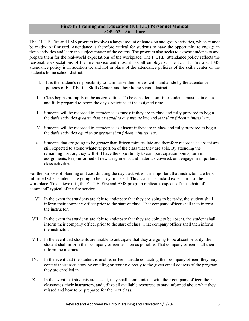#### **First-In Training and Education (F.I.T.E.) Personnel Manual**  SOP 002 – Attendance

The F.I.T.E. Fire and EMS program involves a large amount of hands-on and group activities, which cannot be made-up if missed. Attendance is therefore critical for students to have the opportunity to engage in these activities and learn the subject matter of the course. The program also seeks to expose students to and prepare them for the real-world expectations of the workplace. The F.I.T.E. attendance policy reflects the reasonable expectations of the fire service and most if not all employers. The F.I.T.E. Fire and EMS attendance policy is in addition to, and not in place of the attendance policies of the skills center or the student's home school district.

- I. It is the student's responsibility to familiarize themselves with, and abide by the attendance policies of F.I.T.E., the Skills Center, and their home school district.
- II. Class begins promptly at the assigned time. To be considered on-time students must be in class and fully prepared to begin the day's activities at the assigned time.
- III. Students will be recorded in attendance as **tardy** if they are in class and fully prepared to begin the day's activities *greater than or equal to one minute* late and *less than fifteen minutes* late.
- IV. Students will be recorded in attendance as **absent** if they are in class and fully prepared to begin the day's activities *equal to or greater than fifteen minutes* late.
- V. Students that are going to be greater than fifteen minutes late and therefore recorded as absent are still expected to attend whatever portion of the class that they are able. By attending the remaining portion, they will still have the opportunity to earn participation points, turn in assignments, keep informed of new assignments and materials covered, and engage in important class activities.

For the purpose of planning and coordinating the day's activities it is important that instructors are kept informed when students are going to be tardy or absent. This is also a standard expectation of the workplace. To achieve this, the F.I.T.E. Fire and EMS program replicates aspects of the "chain of command" typical of the fire service.

- VI. In the event that students are able to anticipate that they are going to be tardy, the student shall inform their company officer prior to the start of class. That company officer shall then inform the instructor.
- VII. In the event that students are able to anticipate that they are going to be absent, the student shall inform their company officer prior to the start of class. That company officer shall then inform the instructor.
- VIII. In the event that students are unable to anticipate that they are going to be absent or tardy, the student shall inform their company officer as soon as possible. That company officer shall then inform the instructor.
- IX. In the event that the student is unable, or feels unsafe contacting their company officer, they may contact their instructors by emailing or texting directly to the given email address of the program they are enrolled in.
- X. In the event that students are absent, they shall communicate with their company officer, their classmates, their instructors, and utilize all available resources to stay informed about what they missed and how to be prepared for the next class.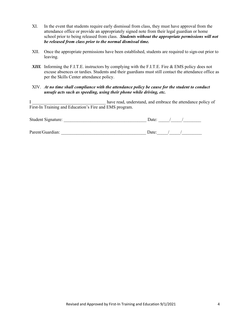- XI. In the event that students require early dismissal from class, they must have approval from the attendance office or provide an appropriately signed note from their legal guardian or home school prior to being released from class. *Students without the appropriate permissions will not be released from class prior to the normal dismissal time.*
- XII. Once the appropriate permissions have been established, students are required to sign-out prior to leaving.
- *XIII.* Informing the F.I.T.E. instructors by complying with the F.I.T.E. Fire & EMS policy does not excuse absences or tardies. Students and their guardians must still contact the attendance office as per the Skills Center attendance policy.
- XIV. *At no time shall compliance with the attendance policy be cause for the student to conduct unsafe acts such as speeding, using their phone while driving, etc.*

I have read, understand, and embrace the attendance policy of First-In Training and Education's Fire and EMS program.

| Student Signature: | Date: |  |  |
|--------------------|-------|--|--|
|                    |       |  |  |
| Parent/Guardian:   | Date: |  |  |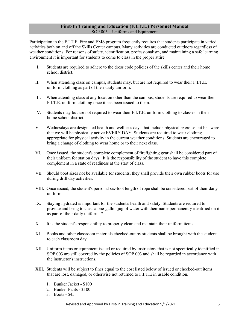# **First-In Training and Education (F.I.T.E.) Personnel Manual** SOP 003 – Uniforms and Equipment

Participation in the F.I.T.E. Fire and EMS program frequently requires that students participate in varied activities both on and off the Skills Center campus. Many activities are conducted outdoors regardless of weather conditions. For reasons of safety, identification, professionalism, and maintaining a safe learning environment it is important for students to come to class in the proper attire.

- I. Students are required to adhere to the dress code policies of the skills center and their home school district.
- II. When attending class on campus, students may, but are not required to wear their F.I.T.E. uniform clothing as part of their daily uniform.
- III. When attending class at any location other than the campus, students are required to wear their F.I.T.E. uniform clothing once it has been issued to them.
- IV. Students may but are not required to wear their F.I.T.E. uniform clothing to classes in their home school district.
- V. Wednesdays are designated health and wellness days that include physical exercise but be aware that we will be physically active EVERY DAY. Students are required to wear clothing appropriate for physical activity in the current weather conditions. Students are encouraged to bring a change of clothing to wear home or to their next class.
- VI. Once issued, the student's complete complement of firefighting gear shall be considered part of their uniform for station days. It is the responsibility of the student to have this complete complement in a state of readiness at the start of class.
- VII. Should boot sizes not be available for students, they shall provide their own rubber boots for use during drill day activities.
- VIII. Once issued, the student's personal six-foot length of rope shall be considered part of their daily uniform.
- IX. Staying hydrated is important for the student's health and safety. Students are required to provide and bring to class a one-gallon jug of water with their name permanently identified on it as part of their daily uniform. \*
- X. It is the student's responsibility to properly clean and maintain their uniform items.
- XI. Books and other classroom materials checked-out by students shall be brought with the student to each classroom day.
- XII. Uniform items or equipment issued or required by instructors that is not specifically identified in SOP 003 are still covered by the policies of SOP 003 and shall be regarded in accordance with the instructor's instructions.
- XIII. Students will be subject to fines equal to the cost listed below of issued or checked-out items that are lost, damaged, or otherwise not returned to F.I.T.E in usable condition.
	- 1. Bunker Jacket \$100
	- 2. Bunker Pants \$100
	- 3. Boots \$45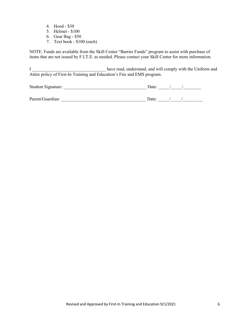- 4. Hood \$30
- 5. Helmet \$100
- 6. Gear Bag \$50
- 7. Text book \$100 (each)

NOTE: Funds are available from the Skill Center "Barrier Funds" program to assist with purchase of items that are not issued by F.I.T.E. as needed. Please contact your Skill Center for more information.

I complex in the Uniform and have read, understand, and will comply with the Uniform and Attire policy of First-In Training and Education's Fire and EMS program.

| Student Signature: | Date: |  |
|--------------------|-------|--|
|                    |       |  |
| Parent/Guardian:   | Date: |  |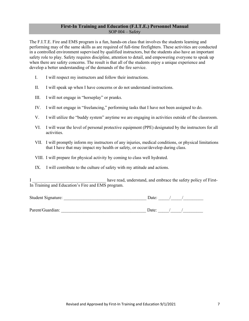# **First-In Training and Education (F.I.T.E.) Personnel Manual**  SOP 004 – Safety

The F.I.T.E. Fire and EMS program is a fun, hands-on class that involves the students learning and performing may of the same skills as are required of full-time firefighters. These activities are conducted in a controlled environment supervised by qualified instructors, but the students also have an important safety role to play. Safety requires discipline, attention to detail, and empowering everyone to speak up when there are safety concerns. The result is that all of the students enjoy a unique experience and develop a better understanding of the demands of the fire service.

- I. I will respect my instructors and follow their instructions.
- II. I will speak up when I have concerns or do not understand instructions.
- III. I will not engage in "horseplay" or pranks.
- IV. I will not engage in "freelancing," performing tasks that I have not been assigned to do.
- V. I will utilize the "buddy system" anytime we are engaging in activities outside of the classroom.
- VI. I will wear the level of personal protective equipment (PPE) designated by the instructors for all activities.
- VII. I will promptly inform my instructors of any injuries, medical conditions, or physical limitations that I have that may impact my health or safety, or occur/develop during class.
- VIII. I will prepare for physical activity by coming to class well hydrated.
- IX. I will contribute to the culture of safety with my attitude and actions.

I have read, understand, and embrace the safety policy of First-In Training and Education's Fire and EMS program.

| Student Signature: | Date: |
|--------------------|-------|
|                    |       |
| Parent/Guardian:   | Date: |